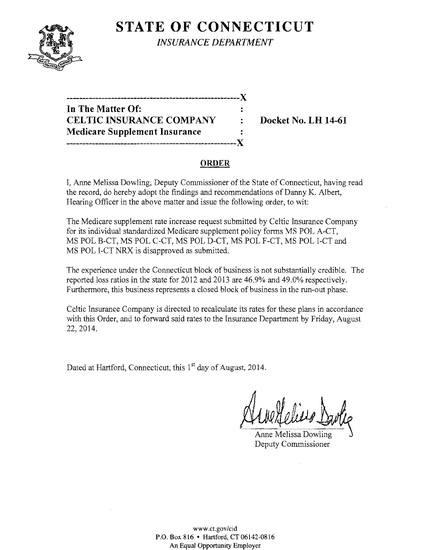

**STATE OF CONNECTICUT** *INSURANCE DEPARTMENT* 

| In The Matter Of:                      |                |
|----------------------------------------|----------------|
| <b>CELTIC INSURANCE COMPANY</b>        | ٠              |
| <b>Medicare Supplement Insurance</b>   | $\ddot{\cdot}$ |
| -------------------------------------X |                |

**Docket No. LH 14-61** 

## **ORDER**

I, Anne Melissa Dowling, Deputy Commissioner of the State of Connecticut, having read the record, do hereby adopt the findings and recommendations of Danny K. Albert, Hearing Officer in the above matter and issue the following order, to wit:

The Medicare supplement rate increase request submitted by Celtic Insurance Company for its individual standardized Medicare supplement policy forms MS POL A-CT, MS POL B-CT, MS POL C-CT, MS POL D-CT, MS POL F-CT, MS POL I-CT and MS POL I-CT NRX is disapproved as submitted.

The experience under the Connecticut block of business is not substantially credible. The reported loss ratios in the state for 2012 and 2013 are 46.9% and 49.0% respectively. Furthermore, this business represents a closed block of business in the run-out phase.

Celtic Insurance Company is directed to recalculate its rates for these plans in accordance with this Order, and to forward said rates to the Insurance Department by Friday, August 22,2014.

Dated at Hartford, Connecticut, this 1<sup>st</sup> day of August, 2014.

Anne Melissa Dowling Deputy Commissioner

www.ct.gov/cid P.O. Box 816 • Hartford, CT 06142-0816 An Equal Opportunity Employer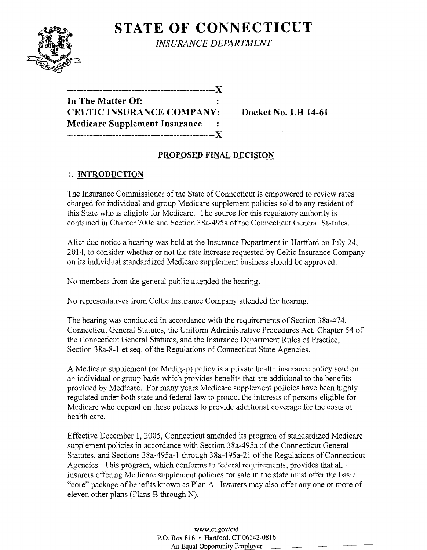**STATE OF CONNECTICUT** *INSURANCE DEPARTMENT* 

| In The Matter Of:                      |  |
|----------------------------------------|--|
| <b>CELTIC INSURANCE COMPANY:</b>       |  |
| <b>Medicare Supplement Insurance :</b> |  |
|                                        |  |

**Docket No. LH 14-61** 

# **PROPOSED FINAL DECISION**

# 1. **INTRODUCTION**

The Insurance Commissioner of the State of Connecticut is empowered to review rates charged for individual and group Medicare supplement policies sold to any resident of this State who is eligible for Medicare. The source for this regulatory authority is contained in Chapter 700c and Section 38a-495a of the Connecticut General Statutes.

After due notice a hearing was held at the Insurance Department in Hartford on July 24, 2014, to consider whether or not the rate increase requested by Celtic Insurance Company on its individual standardized Medicare supplement business should be approved.

No members from the general public attended the hearing.

No representatives from Celtic Insurance Company attended the hearing.

The hearing was conducted in accordance with the requirements of Section 38a-474, Connecticut General Statutes, the Uniform Administrative Procedures Act, Chapter 54 of the Connecticut General Statutes, and the Insurance Department Rules of Practice, Section 38a-8-1 et seq. of the Regulations of Connecticut State Agencies.

A Medicare supplement (or Medigap) policy is a private health insurance policy sold on an individual or group basis which provides benefits that are additional to the benefits provided by Medicare. For many years Medicare supplement policies have been highly regulated under both state and federal law to protect the interests of persons eligible for Medicare who depend on these policies to provide additional coverage for the costs of health care.

Effective December 1, 2005, Connecticut amended its program of standardized Medicare supplement policies in accordance with Section 38a-495a of the Connecticut General Statutes, and Sections 38a-495a-I through 38a-495a-21 of the Regulations of Connecticut Agencies. This program, which conforms to federal requirements, provides that all ' insurers offering Medicare supplement policies for sale in the state must offer the basic "core" package of benefits known as Plan A. Insurers may also offer anyone or more of eleven other plans (Plans B through N).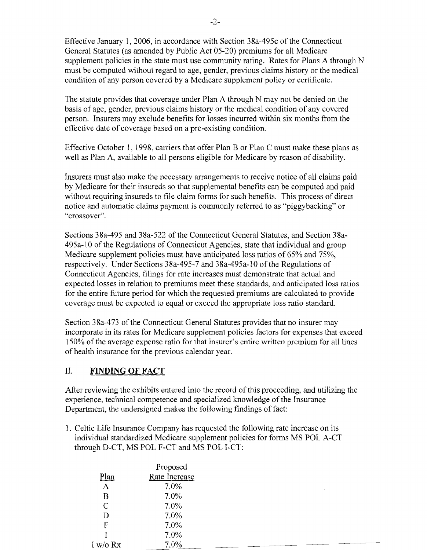Effective January 1, 2006, in accordance with Section 38a-495c of the Connecticut General Statutes (as amended by Public Act 05-20) premiums for all Medicare supplement policies in the state must use community rating. Rates for Plans A through N must be computed without regard to age, gender, previous claims history or the medical condition of any person covered by a Medicare supplement policy or certificate.

The statute provides that coverage under Plan A through N may not be denied on the basis of age, gender, previous claims history or the medical condition of any covered person. Insurers may exclude benefits for losses incurred within six months from the effective date of coverage based on a pre-existing condition.

Effective October 1,1998, carriers that offer Plan B or Plan C must make these plans as well as Plan A, available to all persons eligible for Medicare by reason of disability.

Insurers must also make the necessary arrangements to receive notice of all claims paid by Medicare for their insureds so that supplemental benefits can be computed and paid without requiring insureds to file claim forms for such benefits. This process of direct notice and automatic claims payment is commonly referred to as "piggybacking" or "crossover".

Sections 38a-495 and 38a-522 of the Connecticut General Statutes, and Section 38a-495a-lO of the Regulations of Connecticut Agencies, state that individual and group Medicare supplement policies must have anticipated loss ratios of 65% and 75%, respectively. Under Sections 38a-495-7 and 38a-495a-10 ofthe Regulations of Connecticut Agencies, filings for rate increases must demonstrate that actual and expected losses in relation to premiums meet these standards, and anticipated loss ratios for the entire future period for which the requested premiums are calculated to provide coverage must be expected to equal or exceed the appropriate loss ratio standard.

Section 38a-473 of the Connecticut General Statutes provides that no insurer may incorporate in its rates for Medicare supplement policies factors for expenses that exceed 150% of the average expense ratio for that insurer's entire written premium for all lines of health insurance for the previous calendar year.

## II. **FINDING OF FACT**

After reviewing the exhibits entered into the record of this proceeding, and utilizing the experience, technical competence and specialized knowledge of the Insurance Department, the undersigned makes the following findings of fact:

1. Celtic Life Insurance Company has requested the following rate increase on its individual standardized Medicare supplement policies for forms MS POL A-CT through D-CT, MS POL F-CT and MS POL I-CT:

|               | Proposed      |  |
|---------------|---------------|--|
| Plan          | Rate Increase |  |
| $\mathbf{A}$  | $7.0\%$       |  |
| B             | 7.0%          |  |
| $\mathcal{C}$ | $7.0\%$       |  |
| D             | $7.0\%$       |  |
| F             | $7.0\%$       |  |
|               | $7.0\%$       |  |
| I w/o Rx      | 7.0%          |  |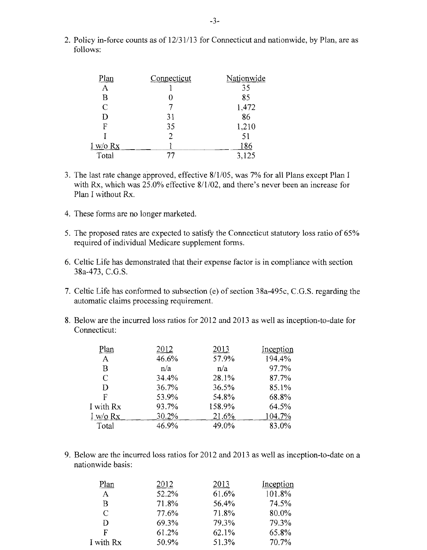2. Policy in-force counts as of 12/31/13 for Connecticut and nationwide, by Plan, are as follows:

| Plan           | Connecticut | Nationwide |
|----------------|-------------|------------|
| $\mathbf{A}$   |             | 35         |
| B              |             | 85         |
| $\overline{C}$ |             | 1,472      |
| D              | 31          | 86         |
| F              | 35          | 1,210      |
|                | 2           | 51         |
| I w/o Rx       |             | 186        |
| Total          | 77          | 3,125      |

- 3. The last rate change approved, effective 8/1/05, was 7% for all Plans except Plan I with Rx, which was 25.0% effective 8/1/02, and there's never been an increase for Plan I without Rx.
- 4. These forms are no longer marketed.
- 5. The proposed rates are expected to satisfy the Connecticut statutory loss ratio of 65% required of individual Medicare supplement forms.
- 6. Celtic Life has demonstrated that their expense factor is in compliance with section 38a-473, C.G.S.
- 7. Celtic Life has conformed to subsection (e) of section 38a-495c, C.G.S. regarding the automatic claims processing requirement.
- 8. Below are the incurred loss ratios for 2012 and 2013 as well as inception-to-date for Connecticut:

| 2012  | 2013   | Inception |
|-------|--------|-----------|
| 46.6% | 57.9%  | 194.4%    |
| n/a   | n/a    | 97.7%     |
| 34.4% | 28.1%  | 87.7%     |
| 36.7% | 36.5%  | 85.1%     |
| 53.9% | 54.8%  | 68.8%     |
| 93.7% | 158.9% | 64.5%     |
| 30.2% | 21.6%  | 104.7%    |
| 46.9% | 49.0%  | 83.0%     |
|       |        |           |

9. Below are the incurred loss ratios for 2012 and 2013 as well as inception-to-date on a nationwide basis:

| Plan         | 2012  | 2013  | Inception |
|--------------|-------|-------|-----------|
| $\mathbf{A}$ | 52.2% | 61.6% | 101.8%    |
| B            | 71.8% | 56.4% | 74.5%     |
| C            | 77.6% | 71.8% | 80.0%     |
| D            | 69.3% | 79.3% | 79.3%     |
| F            | 61.2% | 62.1% | 65.8%     |
| I with Rx    | 50.9% | 51.3% | 70.7%     |
|              |       |       |           |